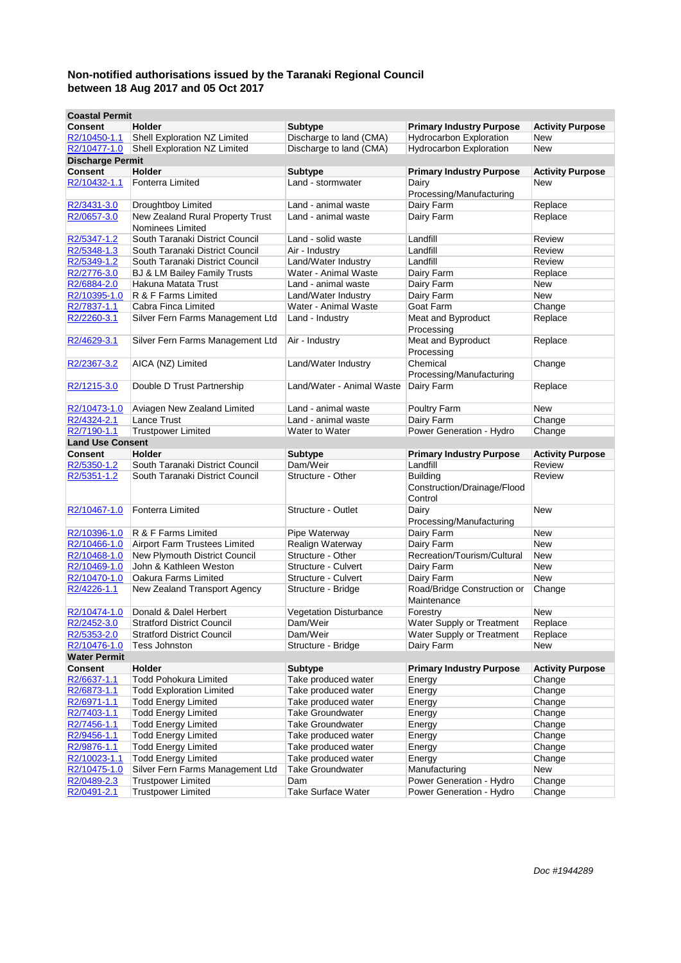| <b>Coastal Permit</b>   |                                                      |                               |                                                           |                         |
|-------------------------|------------------------------------------------------|-------------------------------|-----------------------------------------------------------|-------------------------|
| <b>Consent</b>          | <b>Holder</b>                                        | Subtype                       | <b>Primary Industry Purpose</b>                           | <b>Activity Purpose</b> |
| R2/10450-1.1            | Shell Exploration NZ Limited                         | Discharge to land (CMA)       | <b>Hydrocarbon Exploration</b>                            | New                     |
| R2/10477-1.0            | Shell Exploration NZ Limited                         | Discharge to land (CMA)       | Hydrocarbon Exploration                                   | New                     |
| <b>Discharge Permit</b> |                                                      |                               |                                                           |                         |
| <b>Consent</b>          | Holder                                               | Subtype                       | <b>Primary Industry Purpose</b>                           | <b>Activity Purpose</b> |
| R2/10432-1.1            | Fonterra Limited                                     | Land - stormwater             | Dairy<br>Processing/Manufacturing                         | New                     |
| R2/3431-3.0             | Droughtboy Limited                                   | Land - animal waste           | Dairy Farm                                                | Replace                 |
| R2/0657-3.0             | New Zealand Rural Property Trust<br>Nominees Limited | Land - animal waste           | Dairy Farm                                                | Replace                 |
| R2/5347-1.2             | South Taranaki District Council                      | Land - solid waste            | Landfill                                                  | Review                  |
| R2/5348-1.3             | South Taranaki District Council                      | Air - Industry                | Landfill                                                  | Review                  |
| R2/5349-1.2             | South Taranaki District Council                      | Land/Water Industry           | Landfill                                                  | Review                  |
| R2/2776-3.0             | BJ & LM Bailey Family Trusts                         | Water - Animal Waste          | Dairy Farm                                                | Replace                 |
| R2/6884-2.0             | Hakuna Matata Trust                                  | Land - animal waste           | Dairy Farm                                                | New                     |
| R2/10395-1.0            | R & F Farms Limited                                  | Land/Water Industry           | Dairy Farm                                                | New                     |
| R2/7837-1.1             | Cabra Finca Limited                                  | Water - Animal Waste          | Goat Farm                                                 | Change                  |
| R2/2260-3.1             | Silver Fern Farms Management Ltd                     | Land - Industry               | Meat and Byproduct<br>Processing                          | Replace                 |
| R2/4629-3.1             | Silver Fern Farms Management Ltd                     | Air - Industry                | Meat and Byproduct<br>Processing                          | Replace                 |
| R2/2367-3.2             | AICA (NZ) Limited                                    | Land/Water Industry           | Chemical<br>Processing/Manufacturing                      | Change                  |
| R2/1215-3.0             | Double D Trust Partnership                           | Land/Water - Animal Waste     | Dairy Farm                                                | Replace                 |
| R2/10473-1.0            | Aviagen New Zealand Limited                          | Land - animal waste           | Poultry Farm                                              | New                     |
| R2/4324-2.1             | Lance Trust                                          | Land - animal waste           | Dairy Farm                                                | Change                  |
| R2/7190-1.1             | <b>Trustpower Limited</b>                            | Water to Water                | Power Generation - Hydro                                  | Change                  |
| <b>Land Use Consent</b> |                                                      |                               |                                                           |                         |
| <b>Consent</b>          | <b>Holder</b>                                        | <b>Subtype</b>                | <b>Primary Industry Purpose</b>                           | <b>Activity Purpose</b> |
| R2/5350-1.2             | South Taranaki District Council                      | Dam/Weir                      | Landfill                                                  | Review                  |
| R2/5351-1.2             | South Taranaki District Council                      | Structure - Other             | <b>Building</b><br>Construction/Drainage/Flood<br>Control | Review                  |
| R2/10467-1.0            | Fonterra Limited                                     | Structure - Outlet            | Dairy<br>Processing/Manufacturing                         | New                     |
| R2/10396-1.0            | R & F Farms Limited                                  | Pipe Waterway                 | Dairy Farm                                                | New                     |
| R2/10466-1.0            | Airport Farm Trustees Limited                        | Realign Waterway              | Dairy Farm                                                | <b>New</b>              |
| R2/10468-1.0            | New Plymouth District Council                        | Structure - Other             | Recreation/Tourism/Cultural                               | New                     |
| R2/10469-1.0            | John & Kathleen Weston                               | Structure - Culvert           | Dairy Farm                                                | New                     |
| R2/10470-1.0            | Oakura Farms Limited                                 | Structure - Culvert           | Dairy Farm                                                | New                     |
| R2/4226-1.1             | New Zealand Transport Agency                         | Structure - Bridge            | Road/Bridge Construction or<br>Maintenance                | Change                  |
| R2/10474-1.0            | Donald & Dalel Herbert                               | <b>Vegetation Disturbance</b> | Forestry                                                  | New                     |
| R2/2452-3.0             | <b>Stratford District Council</b>                    | Dam/Weir                      | Water Supply or Treatment                                 | Replace                 |
| R2/5353-2.0             | <b>Stratford District Council</b>                    | Dam/Weir                      | Water Supply or Treatment                                 | Replace                 |
| R2/10476-1.0            | <b>Tess Johnston</b>                                 | Structure - Bridge            | Dairy Farm                                                | New                     |
| <b>Water Permit</b>     |                                                      |                               |                                                           |                         |
| <b>Consent</b>          | Holder                                               | Subtype                       | <b>Primary Industry Purpose</b>                           | <b>Activity Purpose</b> |
| R2/6637-1.1             | <b>Todd Pohokura Limited</b>                         | Take produced water           | Energy                                                    | Change                  |
| R2/6873-1.1             | <b>Todd Exploration Limited</b>                      | Take produced water           | Energy                                                    | Change                  |
| R2/6971-1.1             | <b>Todd Energy Limited</b>                           | Take produced water           | Energy                                                    | Change                  |
| R2/7403-1.1             | <b>Todd Energy Limited</b>                           | <b>Take Groundwater</b>       | Energy                                                    | Change                  |
| R2/7456-1.1             | <b>Todd Energy Limited</b>                           | <b>Take Groundwater</b>       | Energy                                                    | Change                  |
| R2/9456-1.1             | <b>Todd Energy Limited</b>                           | Take produced water           | Energy                                                    | Change                  |
| R2/9876-1.1             | <b>Todd Energy Limited</b>                           | Take produced water           | Energy                                                    | Change                  |
| R2/10023-1.1            | <b>Todd Energy Limited</b>                           | Take produced water           | Energy                                                    | Change                  |
| R2/10475-1.0            | Silver Fern Farms Management Ltd                     | <b>Take Groundwater</b>       | Manufacturing                                             | New                     |
| R2/0489-2.3             | <b>Trustpower Limited</b>                            | Dam                           | Power Generation - Hydro                                  | Change                  |
| R2/0491-2.1             | <b>Trustpower Limited</b>                            | Take Surface Water            | Power Generation - Hydro                                  | Change                  |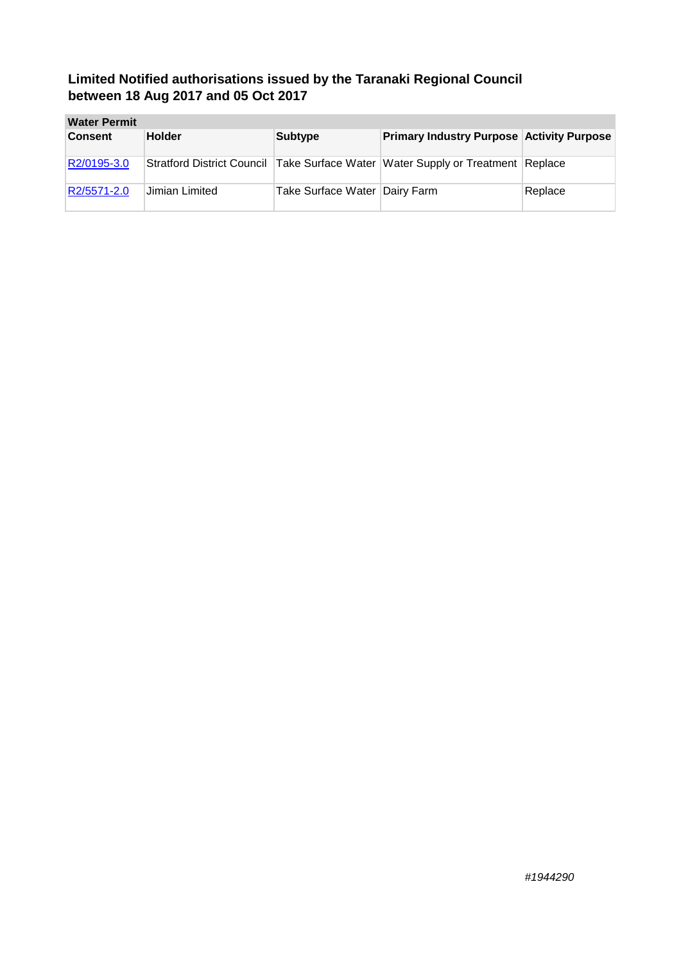| <b>Water Permit</b> |                |                               |                                                                                       |         |
|---------------------|----------------|-------------------------------|---------------------------------------------------------------------------------------|---------|
| <b>Consent</b>      | <b>Holder</b>  | <b>Subtype</b>                | <b>Primary Industry Purpose Activity Purpose</b>                                      |         |
| R2/0195-3.0         |                |                               | Stratford District Council   Take Surface Water   Water Supply or Treatment   Replace |         |
| R2/5571-2.0         | Jimian Limited | Take Surface Water Dairy Farm |                                                                                       | Replace |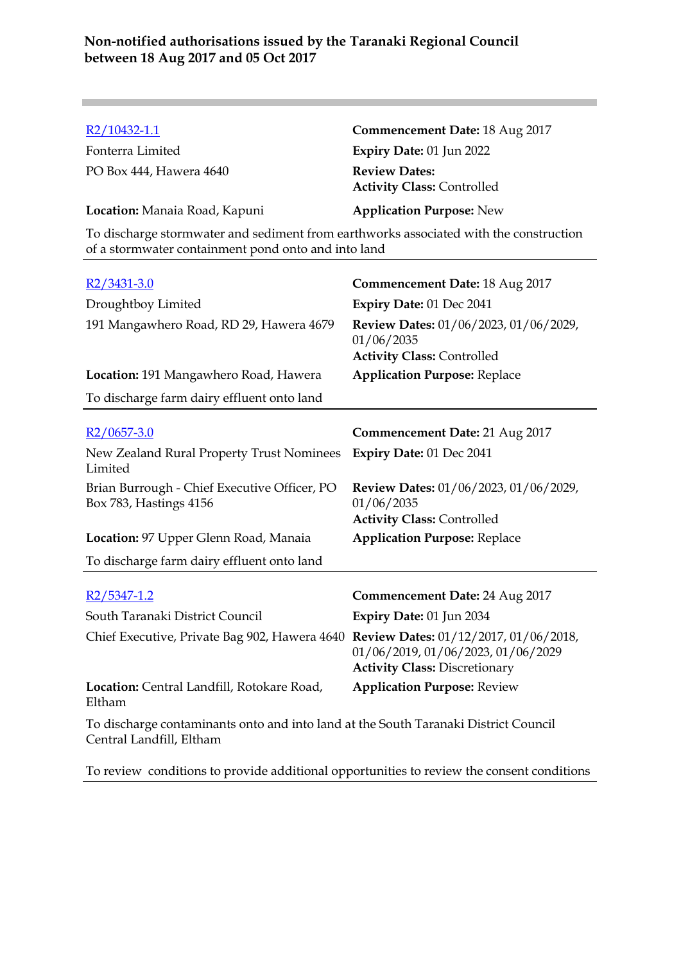| R2/10432-1.1                                                                                                                                 | <b>Commencement Date: 18 Aug 2017</b>                                                                  |  |
|----------------------------------------------------------------------------------------------------------------------------------------------|--------------------------------------------------------------------------------------------------------|--|
| Fonterra Limited                                                                                                                             | Expiry Date: 01 Jun 2022                                                                               |  |
| PO Box 444, Hawera 4640                                                                                                                      | <b>Review Dates:</b><br><b>Activity Class: Controlled</b>                                              |  |
| Location: Manaia Road, Kapuni                                                                                                                | <b>Application Purpose: New</b>                                                                        |  |
| To discharge stormwater and sediment from earthworks associated with the construction<br>of a stormwater containment pond onto and into land |                                                                                                        |  |
| $R2/3431-3.0$                                                                                                                                | <b>Commencement Date: 18 Aug 2017</b>                                                                  |  |
| Droughtboy Limited                                                                                                                           | Expiry Date: 01 Dec 2041                                                                               |  |
| 191 Mangawhero Road, RD 29, Hawera 4679                                                                                                      | Review Dates: 01/06/2023, 01/06/2029,<br>01/06/2035<br><b>Activity Class: Controlled</b>               |  |
| Location: 191 Mangawhero Road, Hawera                                                                                                        | <b>Application Purpose: Replace</b>                                                                    |  |
| To discharge farm dairy effluent onto land                                                                                                   |                                                                                                        |  |
|                                                                                                                                              |                                                                                                        |  |
|                                                                                                                                              |                                                                                                        |  |
| $R2/0657-3.0$                                                                                                                                | <b>Commencement Date: 21 Aug 2017</b>                                                                  |  |
| New Zealand Rural Property Trust Nominees<br>Limited                                                                                         | Expiry Date: 01 Dec 2041                                                                               |  |
| Brian Burrough - Chief Executive Officer, PO<br>Box 783, Hastings 4156                                                                       | Review Dates: 01/06/2023, 01/06/2029,<br>01/06/2035                                                    |  |
|                                                                                                                                              | <b>Activity Class: Controlled</b>                                                                      |  |
| Location: 97 Upper Glenn Road, Manaia                                                                                                        | <b>Application Purpose: Replace</b>                                                                    |  |
| To discharge farm dairy effluent onto land                                                                                                   |                                                                                                        |  |
| $R2/5347-1.2$                                                                                                                                | <b>Commencement Date: 24 Aug 2017</b>                                                                  |  |
| South Taranaki District Council                                                                                                              |                                                                                                        |  |
| Chief Executive, Private Bag 902, Hawera 4640 Review Dates: $01/12/2017$ , $01/06/2018$ ,                                                    | Expiry Date: 01 Jun 2034<br>01/06/2019, 01/06/2023, 01/06/2029<br><b>Activity Class: Discretionary</b> |  |
| Location: Central Landfill, Rotokare Road,<br>Eltham                                                                                         | <b>Application Purpose: Review</b>                                                                     |  |

To review conditions to provide additional opportunities to review the consent conditions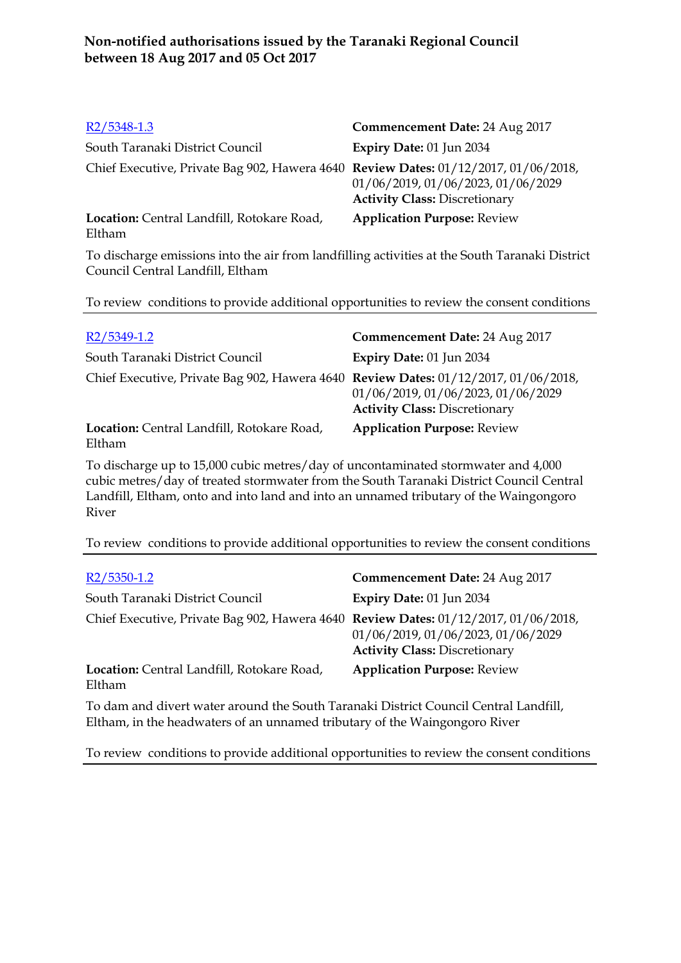| R2/5348-1.3                                                                         | Commencement Date: 24 Aug 2017                                             |
|-------------------------------------------------------------------------------------|----------------------------------------------------------------------------|
| South Taranaki District Council                                                     | Expiry Date: 01 Jun 2034                                                   |
| Chief Executive, Private Bag 902, Hawera 4640 Review Dates: 01/12/2017, 01/06/2018, | 01/06/2019, 01/06/2023, 01/06/2029<br><b>Activity Class: Discretionary</b> |
| Location: Central Landfill, Rotokare Road,<br>Eltham                                | <b>Application Purpose: Review</b>                                         |

To discharge emissions into the air from landfilling activities at the South Taranaki District Council Central Landfill, Eltham

To review conditions to provide additional opportunities to review the consent conditions

| R <sub>2</sub> /5349-1.2                                                            | Commencement Date: 24 Aug 2017                                             |
|-------------------------------------------------------------------------------------|----------------------------------------------------------------------------|
| South Taranaki District Council                                                     | Expiry Date: 01 Jun 2034                                                   |
| Chief Executive, Private Bag 902, Hawera 4640 Review Dates: 01/12/2017, 01/06/2018, | 01/06/2019, 01/06/2023, 01/06/2029<br><b>Activity Class: Discretionary</b> |
| Location: Central Landfill, Rotokare Road,<br>Eltham                                | <b>Application Purpose: Review</b>                                         |

To discharge up to 15,000 cubic metres/day of uncontaminated stormwater and 4,000 cubic metres/day of treated stormwater from the South Taranaki District Council Central Landfill, Eltham, onto and into land and into an unnamed tributary of the Waingongoro River

To review conditions to provide additional opportunities to review the consent conditions

| R <sub>2</sub> /5350-1.2                                                            | Commencement Date: 24 Aug 2017                                             |
|-------------------------------------------------------------------------------------|----------------------------------------------------------------------------|
| South Taranaki District Council                                                     | Expiry Date: 01 Jun 2034                                                   |
| Chief Executive, Private Bag 902, Hawera 4640 Review Dates: 01/12/2017, 01/06/2018, | 01/06/2019, 01/06/2023, 01/06/2029<br><b>Activity Class: Discretionary</b> |
| Location: Central Landfill, Rotokare Road,<br>Eltham                                | <b>Application Purpose: Review</b>                                         |
|                                                                                     |                                                                            |

To dam and divert water around the South Taranaki District Council Central Landfill, Eltham, in the headwaters of an unnamed tributary of the Waingongoro River

To review conditions to provide additional opportunities to review the consent conditions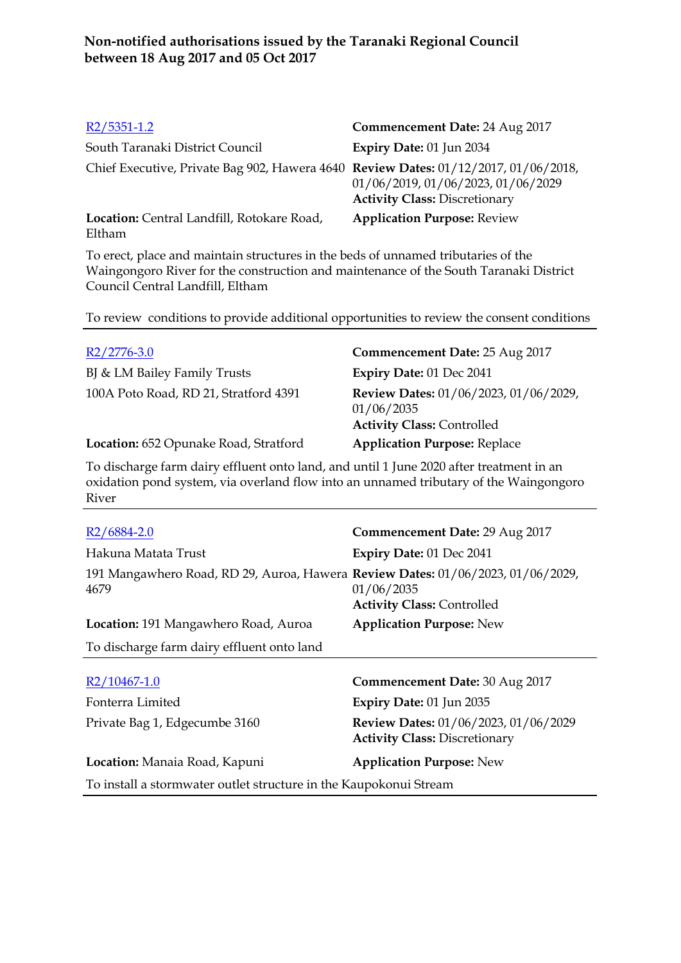| $R2/5351-1.2$                                                                       | Commencement Date: 24 Aug 2017                                             |
|-------------------------------------------------------------------------------------|----------------------------------------------------------------------------|
| South Taranaki District Council                                                     | Expiry Date: 01 Jun 2034                                                   |
| Chief Executive, Private Bag 902, Hawera 4640 Review Dates: 01/12/2017, 01/06/2018, | 01/06/2019, 01/06/2023, 01/06/2029<br><b>Activity Class: Discretionary</b> |
| Location: Central Landfill, Rotokare Road,<br>Eltham                                | <b>Application Purpose: Review</b>                                         |

To erect, place and maintain structures in the beds of unnamed tributaries of the Waingongoro River for the construction and maintenance of the South Taranaki District Council Central Landfill, Eltham

To review conditions to provide additional opportunities to review the consent conditions

| $R2/2776-3.0$                         | <b>Commencement Date: 25 Aug 2017</b>                                                    |
|---------------------------------------|------------------------------------------------------------------------------------------|
| BJ & LM Bailey Family Trusts          | Expiry Date: 01 Dec 2041                                                                 |
| 100A Poto Road, RD 21, Stratford 4391 | Review Dates: 01/06/2023, 01/06/2029,<br>01/06/2035<br><b>Activity Class: Controlled</b> |
| Location: 652 Opunake Road, Stratford | <b>Application Purpose: Replace</b>                                                      |

To discharge farm dairy effluent onto land, and until 1 June 2020 after treatment in an oxidation pond system, via overland flow into an unnamed tributary of the Waingongoro River

| R <sub>2</sub> /6884-2.0                                                                | Commencement Date: 29 Aug 2017                                               |  |
|-----------------------------------------------------------------------------------------|------------------------------------------------------------------------------|--|
| Hakuna Matata Trust                                                                     | Expiry Date: 01 Dec 2041                                                     |  |
| 191 Mangawhero Road, RD 29, Auroa, Hawera Review Dates: 01/06/2023, 01/06/2029,<br>4679 | 01/06/2035<br><b>Activity Class: Controlled</b>                              |  |
| Location: 191 Mangawhero Road, Auroa                                                    | <b>Application Purpose: New</b>                                              |  |
| To discharge farm dairy effluent onto land                                              |                                                                              |  |
| R2/10467-1.0                                                                            | Commencement Date: 30 Aug 2017                                               |  |
| Fonterra Limited                                                                        | Expiry Date: 01 Jun 2035                                                     |  |
| Private Bag 1, Edgecumbe 3160                                                           | Review Dates: 01/06/2023, 01/06/2029<br><b>Activity Class: Discretionary</b> |  |
| Location: Manaia Road, Kapuni                                                           | <b>Application Purpose: New</b>                                              |  |
| To install a stormwater outlet structure in the Kaupokonui Stream                       |                                                                              |  |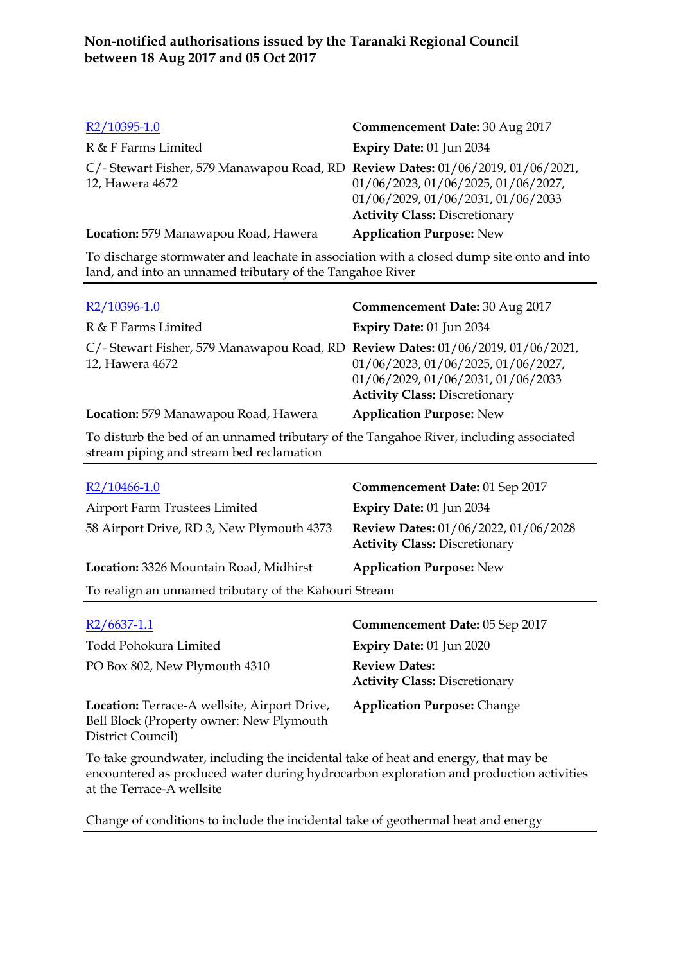| R2/10395-1.0                                                                                              | Commencement Date: 30 Aug 2017                                                                                    |
|-----------------------------------------------------------------------------------------------------------|-------------------------------------------------------------------------------------------------------------------|
| R & F Farms Limited                                                                                       | Expiry Date: 01 Jun 2034                                                                                          |
| C/- Stewart Fisher, 579 Manawapou Road, RD Review Dates: $01/06/2019$ , $01/06/2021$ ,<br>12, Hawera 4672 | 01/06/2023, 01/06/2025, 01/06/2027,<br>01/06/2029, 01/06/2031, 01/06/2033<br><b>Activity Class: Discretionary</b> |
| Location: 579 Manawapou Road, Hawera                                                                      | <b>Application Purpose: New</b>                                                                                   |

To discharge stormwater and leachate in association with a closed dump site onto and into land, and into an unnamed tributary of the Tangahoe River

| R2/10396-1.0                                                                                        | Commencement Date: 30 Aug 2017                                                                                    |
|-----------------------------------------------------------------------------------------------------|-------------------------------------------------------------------------------------------------------------------|
| R & F Farms Limited                                                                                 | Expiry Date: 01 Jun 2034                                                                                          |
| C/- Stewart Fisher, 579 Manawapou Road, RD Review Dates: 01/06/2019, 01/06/2021,<br>12, Hawera 4672 | 01/06/2023, 01/06/2025, 01/06/2027,<br>01/06/2029, 01/06/2031, 01/06/2033<br><b>Activity Class: Discretionary</b> |
| Location: 579 Manawapou Road, Hawera                                                                | <b>Application Purpose: New</b>                                                                                   |
|                                                                                                     |                                                                                                                   |

To disturb the bed of an unnamed tributary of the Tangahoe River, including associated stream piping and stream bed reclamation

| $R2/10466-1.0$                                        | Commencement Date: 01 Sep 2017                                               |  |
|-------------------------------------------------------|------------------------------------------------------------------------------|--|
| Airport Farm Trustees Limited                         | Expiry Date: 01 Jun 2034                                                     |  |
| 58 Airport Drive, RD 3, New Plymouth 4373             | Review Dates: 01/06/2022, 01/06/2028<br><b>Activity Class: Discretionary</b> |  |
| Location: 3326 Mountain Road, Midhirst                | <b>Application Purpose: New</b>                                              |  |
| To realign an unnamed tributary of the Kahouri Stream |                                                                              |  |
|                                                       |                                                                              |  |

| $R2/6637-1.1$                                                                                                 | Commencement Date: 05 Sep 2017                               |
|---------------------------------------------------------------------------------------------------------------|--------------------------------------------------------------|
| Todd Pohokura Limited                                                                                         | Expiry Date: 01 Jun 2020                                     |
| PO Box 802, New Plymouth 4310                                                                                 | <b>Review Dates:</b><br><b>Activity Class: Discretionary</b> |
| Location: Terrace-A wellsite, Airport Drive,<br>Bell Block (Property owner: New Plymouth<br>District Council) | <b>Application Purpose: Change</b>                           |

To take groundwater, including the incidental take of heat and energy, that may be encountered as produced water during hydrocarbon exploration and production activities at the Terrace-A wellsite

Change of conditions to include the incidental take of geothermal heat and energy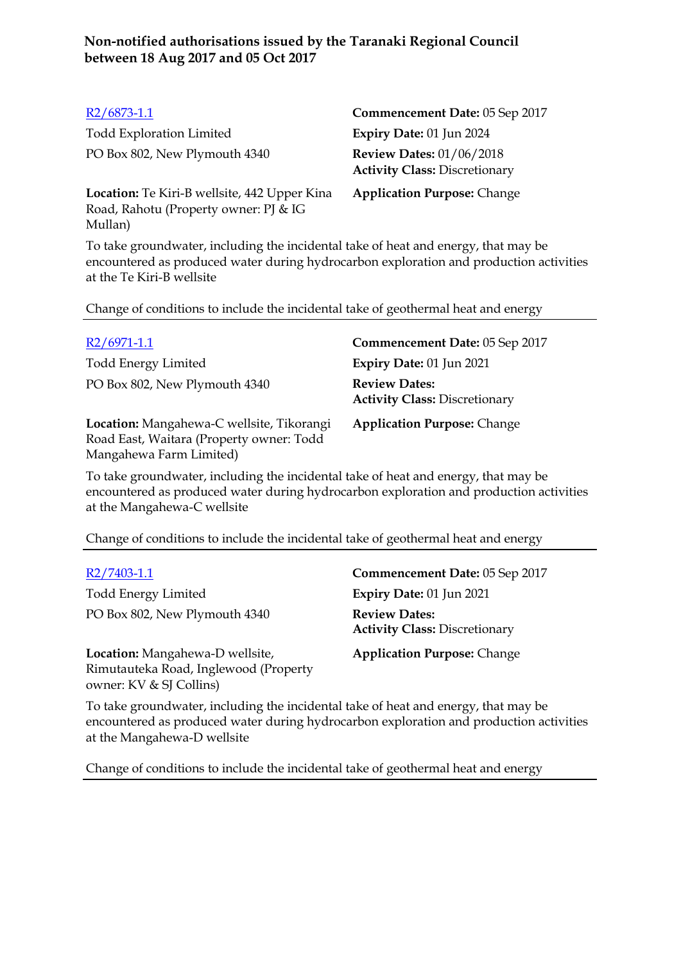| $R2/6873-1.1$                                                                                    | Commencement Date: 05 Sep 2017                                          |
|--------------------------------------------------------------------------------------------------|-------------------------------------------------------------------------|
| <b>Todd Exploration Limited</b>                                                                  | Expiry Date: 01 Jun 2024                                                |
| PO Box 802, New Plymouth 4340                                                                    | <b>Review Dates: 01/06/2018</b><br><b>Activity Class: Discretionary</b> |
| Location: Te Kiri-B wellsite, 442 Upper Kina<br>Road, Rahotu (Property owner: PJ & IG<br>Mullan) | <b>Application Purpose: Change</b>                                      |

To take groundwater, including the incidental take of heat and energy, that may be encountered as produced water during hydrocarbon exploration and production activities at the Te Kiri-B wellsite

Change of conditions to include the incidental take of geothermal heat and energy

| $R2/6971-1.1$                                                                         | Commencement Date: 05 Sep 2017                               |
|---------------------------------------------------------------------------------------|--------------------------------------------------------------|
| <b>Todd Energy Limited</b>                                                            | <b>Expiry Date: 01 Jun 2021</b>                              |
| PO Box 802, New Plymouth 4340                                                         | <b>Review Dates:</b><br><b>Activity Class: Discretionary</b> |
| Location: Mangahewa-C wellsite, Tikorangi<br>Road East, Waitara (Property owner: Todd | <b>Application Purpose: Change</b>                           |

To take groundwater, including the incidental take of heat and energy, that may be encountered as produced water during hydrocarbon exploration and production activities at the Mangahewa-C wellsite

Change of conditions to include the incidental take of geothermal heat and energy

Todd Energy Limited **Expiry Date:** 01 Jun 2021 PO Box 802, New Plymouth 4340 **Review Dates:**

Mangahewa Farm Limited)

**Location:** Mangahewa-D wellsite, Rimutauteka Road, Inglewood (Property owner: KV & SJ Collins)

R2/7403-1.1 **Commencement Date:** 05 Sep 2017 **Activity Class:** Discretionary

**Application Purpose:** Change

To take groundwater, including the incidental take of heat and energy, that may be encountered as produced water during hydrocarbon exploration and production activities at the Mangahewa-D wellsite

Change of conditions to include the incidental take of geothermal heat and energy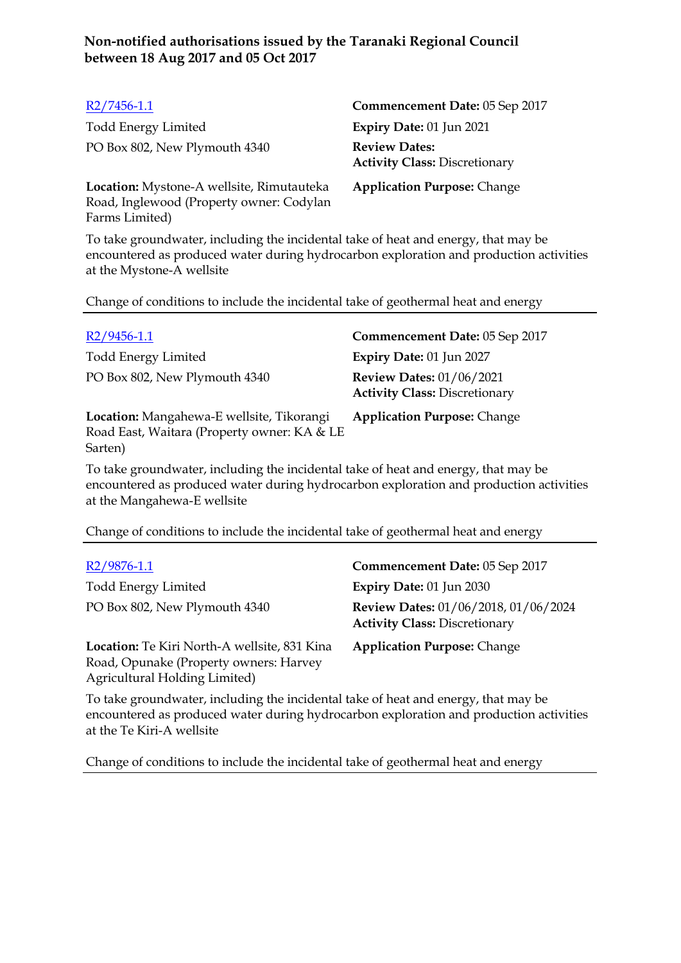| $R2/7456-1.1$                                                                         | Commencement Date: 05 Sep 2017                               |
|---------------------------------------------------------------------------------------|--------------------------------------------------------------|
| <b>Todd Energy Limited</b>                                                            | Expiry Date: 01 Jun 2021                                     |
| PO Box 802, New Plymouth 4340                                                         | <b>Review Dates:</b><br><b>Activity Class: Discretionary</b> |
| Location: Mystone-A wellsite, Rimutauteka<br>Road, Inglewood (Property owner: Codylan | <b>Application Purpose: Change</b>                           |

Farms Limited)

To take groundwater, including the incidental take of heat and energy, that may be encountered as produced water during hydrocarbon exploration and production activities at the Mystone-A wellsite

Change of conditions to include the incidental take of geothermal heat and energy

| $R2/9456-1.1$                                                                                       | Commencement Date: 05 Sep 2017                                          |
|-----------------------------------------------------------------------------------------------------|-------------------------------------------------------------------------|
| <b>Todd Energy Limited</b>                                                                          | Expiry Date: 01 Jun 2027                                                |
| PO Box 802, New Plymouth 4340                                                                       | <b>Review Dates: 01/06/2021</b><br><b>Activity Class: Discretionary</b> |
| Location: Mangahewa-E wellsite, Tikorangi<br>Road East, Waitara (Property owner: KA & LE<br>Sarten) | <b>Application Purpose: Change</b>                                      |

To take groundwater, including the incidental take of heat and energy, that may be encountered as produced water during hydrocarbon exploration and production activities at the Mangahewa-E wellsite

Change of conditions to include the incidental take of geothermal heat and energy

| $R2/9876-1.1$                                                                                                           | Commencement Date: 05 Sep 2017                                               |
|-------------------------------------------------------------------------------------------------------------------------|------------------------------------------------------------------------------|
| <b>Todd Energy Limited</b>                                                                                              | Expiry Date: 01 Jun 2030                                                     |
| PO Box 802, New Plymouth 4340                                                                                           | Review Dates: 01/06/2018, 01/06/2024<br><b>Activity Class: Discretionary</b> |
| Location: Te Kiri North-A wellsite, 831 Kina<br>Road, Opunake (Property owners: Harvey<br>Agricultural Holding Limited) | <b>Application Purpose: Change</b>                                           |

To take groundwater, including the incidental take of heat and energy, that may be encountered as produced water during hydrocarbon exploration and production activities at the Te Kiri-A wellsite

Change of conditions to include the incidental take of geothermal heat and energy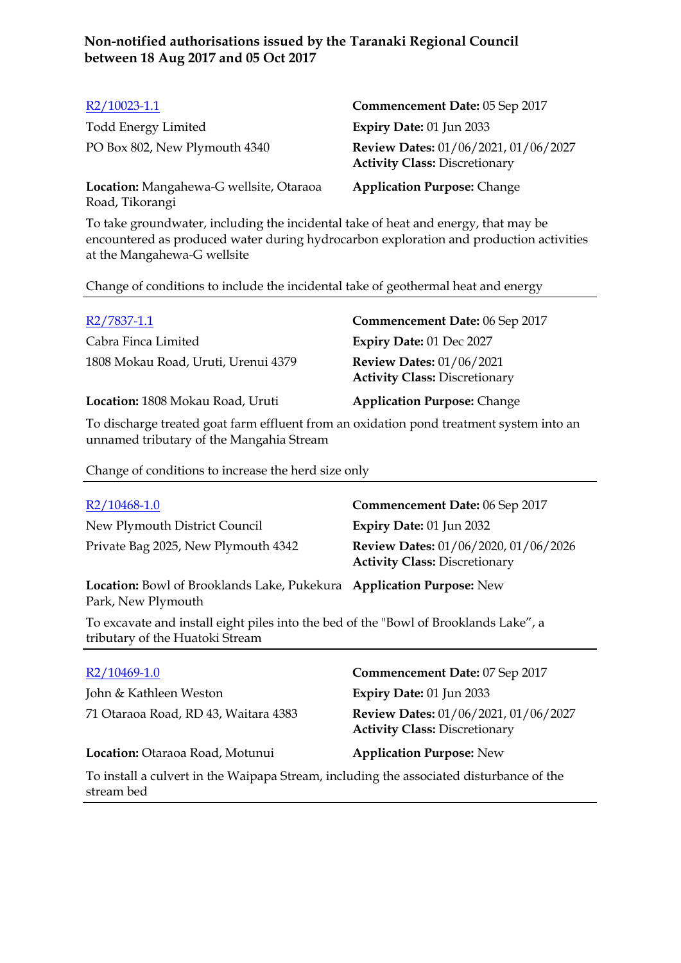| $R2/10023-1.1$                                             | Commencement Date: 05 Sep 2017                                               |
|------------------------------------------------------------|------------------------------------------------------------------------------|
| <b>Todd Energy Limited</b>                                 | <b>Expiry Date: 01 Jun 2033</b>                                              |
| PO Box 802, New Plymouth 4340                              | Review Dates: 01/06/2021, 01/06/2027<br><b>Activity Class: Discretionary</b> |
| Location: Mangahewa-G wellsite, Otaraoa<br>Road, Tikorangi | <b>Application Purpose: Change</b>                                           |

To take groundwater, including the incidental take of heat and energy, that may be encountered as produced water during hydrocarbon exploration and production activities at the Mangahewa-G wellsite

Change of conditions to include the incidental take of geothermal heat and energy

| R2/7837-1.1                         | Commencement Date: 06 Sep 2017                                          |
|-------------------------------------|-------------------------------------------------------------------------|
| Cabra Finca Limited                 | Expiry Date: 01 Dec 2027                                                |
| 1808 Mokau Road, Uruti, Urenui 4379 | <b>Review Dates: 01/06/2021</b><br><b>Activity Class: Discretionary</b> |
| Location: 1808 Mokau Road, Uruti    | <b>Application Purpose: Change</b>                                      |
| 1. 1 $\cdots$ 1 $\cdots$ $\cdots$   |                                                                         |

To discharge treated goat farm effluent from an oxidation pond treatment system into an unnamed tributary of the Mangahia Stream

Change of conditions to increase the herd size only

| $R2/10468-1.0$                                                                                                          | <b>Commencement Date: 06 Sep 2017</b>                                               |
|-------------------------------------------------------------------------------------------------------------------------|-------------------------------------------------------------------------------------|
| New Plymouth District Council                                                                                           | Expiry Date: 01 Jun 2032                                                            |
| Private Bag 2025, New Plymouth 4342                                                                                     | <b>Review Dates: 01/06/2020, 01/06/2026</b><br><b>Activity Class: Discretionary</b> |
| Location: Bowl of Brooklands Lake, Pukekura Application Purpose: New<br>Park, New Plymouth                              |                                                                                     |
| To excavate and install eight piles into the bed of the "Bowl of Brooklands Lake", a<br>tributary of the Huatoki Stream |                                                                                     |
| R2/10469-1.0                                                                                                            | <b>Commencement Date: 07 Sep 2017</b>                                               |
| John & Kathleen Weston                                                                                                  | <b>Expiry Date: 01 Jun 2033</b>                                                     |
|                                                                                                                         |                                                                                     |
| 71 Otaraoa Road, RD 43, Waitara 4383                                                                                    | Review Dates: 01/06/2021, 01/06/2027<br><b>Activity Class: Discretionary</b>        |
| Location: Otaraoa Road, Motunui                                                                                         | <b>Application Purpose: New</b>                                                     |
| To install a culvert in the Waipapa Stream, including the associated disturbance of the<br>stream bed                   |                                                                                     |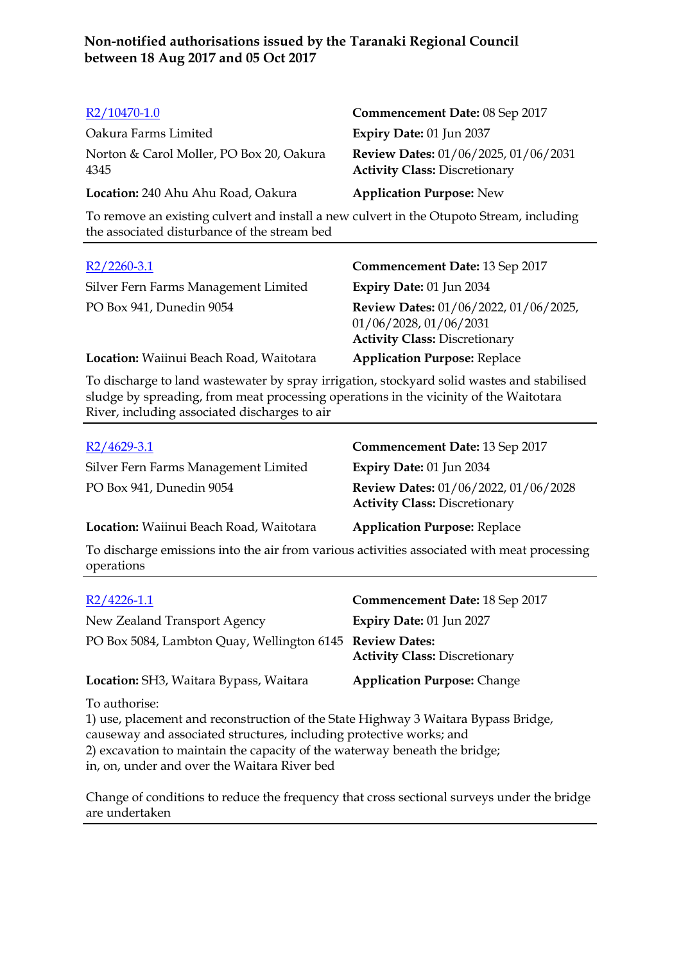| R2/10470-1.0                                     | Commencement Date: 08 Sep 2017                                               |
|--------------------------------------------------|------------------------------------------------------------------------------|
| Oakura Farms Limited                             | Expiry Date: 01 Jun 2037                                                     |
| Norton & Carol Moller, PO Box 20, Oakura<br>4345 | Review Dates: 01/06/2025, 01/06/2031<br><b>Activity Class: Discretionary</b> |
| Location: 240 Ahu Ahu Road, Oakura               | <b>Application Purpose: New</b>                                              |

To remove an existing culvert and install a new culvert in the Otupoto Stream, including the associated disturbance of the stream bed

| $R2/2260-3.1$                           | Commencement Date: 13 Sep 2017                                                                          |
|-----------------------------------------|---------------------------------------------------------------------------------------------------------|
| Silver Fern Farms Management Limited    | <b>Expiry Date: 01 Jun 2034</b>                                                                         |
| PO Box 941, Dunedin 9054                | Review Dates: 01/06/2022, 01/06/2025,<br>01/06/2028, 01/06/2031<br><b>Activity Class: Discretionary</b> |
| Location: Waiinui Beach Road, Waitotara | <b>Application Purpose: Replace</b>                                                                     |

To discharge to land wastewater by spray irrigation, stockyard solid wastes and stabilised sludge by spreading, from meat processing operations in the vicinity of the Waitotara River, including associated discharges to air

| $R2/4629-3.1$                                                                                             | Commencement Date: 13 Sep 2017                                               |
|-----------------------------------------------------------------------------------------------------------|------------------------------------------------------------------------------|
| Silver Fern Farms Management Limited                                                                      | Expiry Date: 01 Jun 2034                                                     |
| PO Box 941, Dunedin 9054                                                                                  | Review Dates: 01/06/2022, 01/06/2028<br><b>Activity Class: Discretionary</b> |
| Location: Waiinui Beach Road, Waitotara                                                                   | <b>Application Purpose: Replace</b>                                          |
| To discharge emissions into the air from various activities associated with meat processing<br>operations |                                                                              |

| $R2/4226-1.1$                                                                                                                                                                                                                                                                      | Commencement Date: 18 Sep 2017       |
|------------------------------------------------------------------------------------------------------------------------------------------------------------------------------------------------------------------------------------------------------------------------------------|--------------------------------------|
| New Zealand Transport Agency                                                                                                                                                                                                                                                       | Expiry Date: 01 Jun 2027             |
| PO Box 5084, Lambton Quay, Wellington 6145 Review Dates:                                                                                                                                                                                                                           | <b>Activity Class: Discretionary</b> |
| <b>Location:</b> SH3, Waitara Bypass, Waitara                                                                                                                                                                                                                                      | <b>Application Purpose: Change</b>   |
| To authorise:<br>1) use, placement and reconstruction of the State Highway 3 Waitara Bypass Bridge,<br>causeway and associated structures, including protective works; and<br>$\Omega$ , account the constant that the constitution of the constance of constant that the function |                                      |

2) excavation to maintain the capacity of the waterway beneath the bridge; in, on, under and over the Waitara River bed

Change of conditions to reduce the frequency that cross sectional surveys under the bridge are undertaken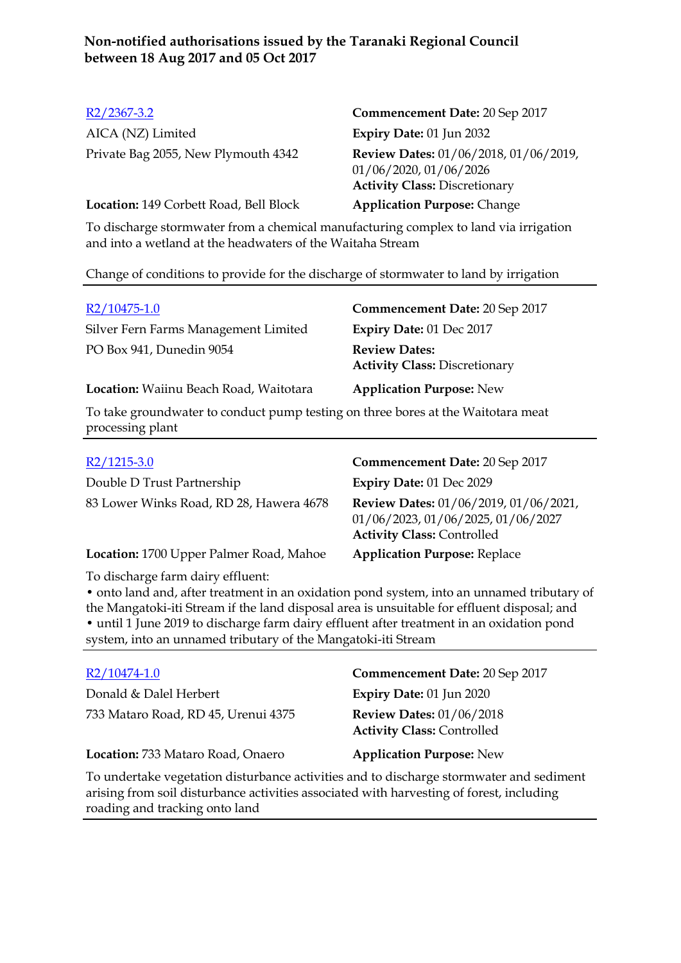| $R2/2367-3.2$                          | Commencement Date: 20 Sep 2017                                                                          |
|----------------------------------------|---------------------------------------------------------------------------------------------------------|
| AICA (NZ) Limited                      | <b>Expiry Date: 01 Jun 2032</b>                                                                         |
| Private Bag 2055, New Plymouth 4342    | Review Dates: 01/06/2018, 01/06/2019,<br>01/06/2020, 01/06/2026<br><b>Activity Class: Discretionary</b> |
| Location: 149 Corbett Road, Bell Block | <b>Application Purpose: Change</b>                                                                      |
|                                        |                                                                                                         |

To discharge stormwater from a chemical manufacturing complex to land via irrigation and into a wetland at the headwaters of the Waitaha Stream

Change of conditions to provide for the discharge of stormwater to land by irrigation

| $R2/10475-1.0$                                                                   | Commencement Date: 20 Sep 2017                               |
|----------------------------------------------------------------------------------|--------------------------------------------------------------|
| Silver Fern Farms Management Limited                                             | Expiry Date: 01 Dec 2017                                     |
| PO Box 941, Dunedin 9054                                                         | <b>Review Dates:</b><br><b>Activity Class: Discretionary</b> |
| Location: Waiinu Beach Road, Waitotara                                           | <b>Application Purpose: New</b>                              |
| To take groundwater to conduct pump testing on three bores at the Waitotara meat |                                                              |

processing plant

| Commencement Date: 20 Sep 2017                                                                                   |
|------------------------------------------------------------------------------------------------------------------|
| Expiry Date: 01 Dec 2029                                                                                         |
| Review Dates: 01/06/2019, 01/06/2021,<br>01/06/2023, 01/06/2025, 01/06/2027<br><b>Activity Class: Controlled</b> |
| <b>Application Purpose: Replace</b>                                                                              |
|                                                                                                                  |

To discharge farm dairy effluent:

• onto land and, after treatment in an oxidation pond system, into an unnamed tributary of the Mangatoki-iti Stream if the land disposal area is unsuitable for effluent disposal; and • until 1 June 2019 to discharge farm dairy effluent after treatment in an oxidation pond system, into an unnamed tributary of the Mangatoki-iti Stream

| $R2/10474-1.0$                                                                          | Commencement Date: 20 Sep 2017                                       |
|-----------------------------------------------------------------------------------------|----------------------------------------------------------------------|
| Donald & Dalel Herbert                                                                  | <b>Expiry Date: 01 Jun 2020</b>                                      |
| 733 Mataro Road, RD 45, Urenui 4375                                                     | <b>Review Dates: 01/06/2018</b><br><b>Activity Class: Controlled</b> |
| Location: 733 Mataro Road, Onaero                                                       | <b>Application Purpose: New</b>                                      |
| To undertake vegetation disturbance activities and to discharge stormwater and sediment |                                                                      |

arising from soil disturbance activities associated with harvesting of forest, including roading and tracking onto land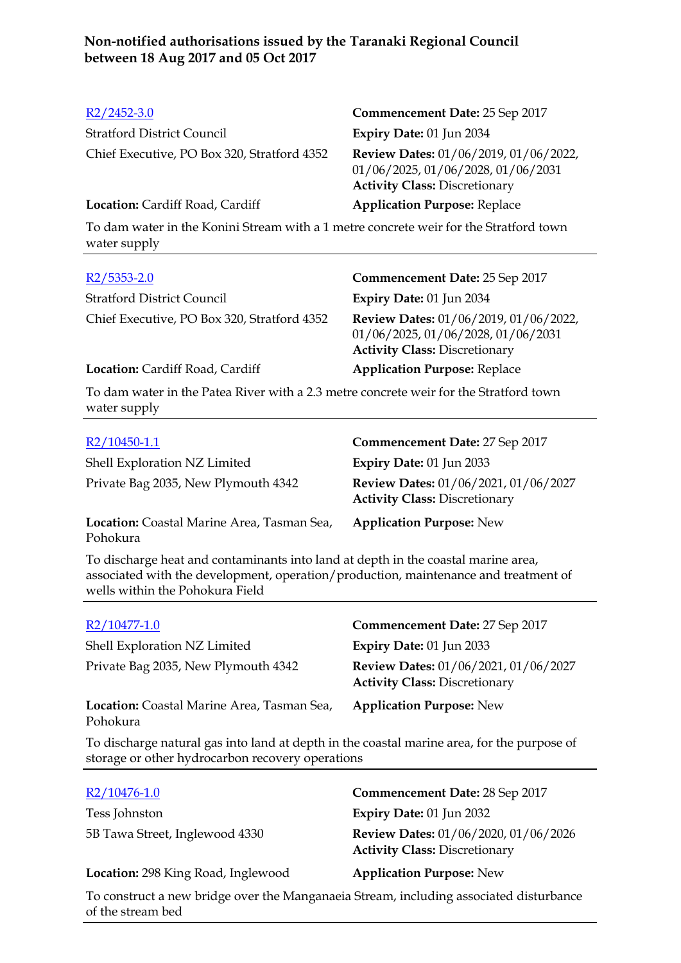| $R2/2452-3.0$                                                                                         | Commencement Date: 25 Sep 2017                                                                                      |
|-------------------------------------------------------------------------------------------------------|---------------------------------------------------------------------------------------------------------------------|
| <b>Stratford District Council</b>                                                                     | Expiry Date: 01 Jun 2034                                                                                            |
| Chief Executive, PO Box 320, Stratford 4352                                                           | Review Dates: 01/06/2019, 01/06/2022,<br>01/06/2025, 01/06/2028, 01/06/2031<br><b>Activity Class: Discretionary</b> |
| Location: Cardiff Road, Cardiff                                                                       | <b>Application Purpose: Replace</b>                                                                                 |
| To dam water in the Konini Stream with a 1 metre concrete weir for the Stratford town<br>water supply |                                                                                                                     |
| $R2/5353-2.0$                                                                                         | <b>Commencement Date: 25 Sep 2017</b>                                                                               |
| <b>Stratford District Council</b>                                                                     | Expiry Date: 01 Jun 2034                                                                                            |
| Chief Executive, PO Box 320, Stratford 4352                                                           | Review Dates: 01/06/2019, 01/06/2022,<br>01/06/2025, 01/06/2028, 01/06/2031<br><b>Activity Class: Discretionary</b> |
| Location: Cardiff Road, Cardiff                                                                       | <b>Application Purpose: Replace</b>                                                                                 |
| To dam water in the Patea River with a 2.3 metre concrete weir for the Stratford town<br>water supply |                                                                                                                     |
|                                                                                                       |                                                                                                                     |
| $R2/10450-1.1$                                                                                        | Commencement Date: 27 Sep 2017                                                                                      |
| Shell Exploration NZ Limited                                                                          | Expiry Date: 01 Jun 2033                                                                                            |
| Private Bag 2035, New Plymouth 4342                                                                   | Review Dates: 01/06/2021, 01/06/2027<br><b>Activity Class: Discretionary</b>                                        |

**Location:** Coastal Marine Area, Tasman Sea, Pohokura

**Application Purpose:** New

To discharge heat and contaminants into land at depth in the coastal marine area, associated with the development, operation/production, maintenance and treatment of wells within the Pohokura Field

| R2/10477-1.0                                           | Commencement Date: 27 Sep 2017                                               |
|--------------------------------------------------------|------------------------------------------------------------------------------|
| Shell Exploration NZ Limited                           | <b>Expiry Date: 01 Jun 2033</b>                                              |
| Private Bag 2035, New Plymouth 4342                    | Review Dates: 01/06/2021, 01/06/2027<br><b>Activity Class: Discretionary</b> |
| Location: Coastal Marine Area, Tasman Sea,<br>Pohokura | <b>Application Purpose: New</b>                                              |

To discharge natural gas into land at depth in the coastal marine area, for the purpose of storage or other hydrocarbon recovery operations

| $R2/10476-1.0$                     | Commencement Date: 28 Sep 2017                                               |
|------------------------------------|------------------------------------------------------------------------------|
| Tess Johnston                      | Expiry Date: 01 Jun 2032                                                     |
| 5B Tawa Street, Inglewood 4330     | Review Dates: 01/06/2020, 01/06/2026<br><b>Activity Class: Discretionary</b> |
| Location: 298 King Road, Inglewood | <b>Application Purpose: New</b>                                              |

To construct a new bridge over the Manganaeia Stream, including associated disturbance of the stream bed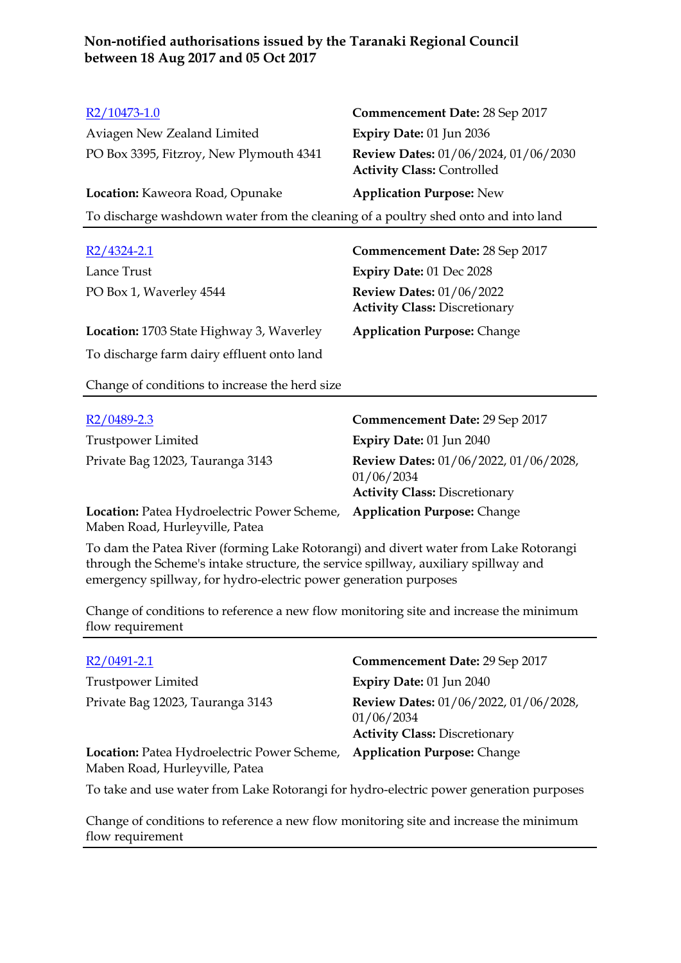| $R2/10473-1.0$                                                                     | Commencement Date: 28 Sep 2017                                                              |
|------------------------------------------------------------------------------------|---------------------------------------------------------------------------------------------|
| Aviagen New Zealand Limited                                                        | Expiry Date: 01 Jun 2036                                                                    |
| PO Box 3395, Fitzroy, New Plymouth 4341                                            | Review Dates: 01/06/2024, 01/06/2030<br><b>Activity Class: Controlled</b>                   |
| Location: Kaweora Road, Opunake                                                    | <b>Application Purpose: New</b>                                                             |
| To discharge washdown water from the cleaning of a poultry shed onto and into land |                                                                                             |
|                                                                                    |                                                                                             |
| $R2/4324-2.1$                                                                      | <b>Commencement Date: 28 Sep 2017</b>                                                       |
| Lance Trust                                                                        | Expiry Date: 01 Dec 2028                                                                    |
| PO Box 1, Waverley 4544                                                            | <b>Review Dates: 01/06/2022</b><br><b>Activity Class: Discretionary</b>                     |
| Location: 1703 State Highway 3, Waverley                                           | <b>Application Purpose: Change</b>                                                          |
| To discharge farm dairy effluent onto land                                         |                                                                                             |
| Change of conditions to increase the herd size                                     |                                                                                             |
| R <sub>2</sub> /0489-2.3                                                           | <b>Commencement Date: 29 Sep 2017</b>                                                       |
| Trustpower Limited                                                                 | Expiry Date: 01 Jun 2040                                                                    |
| Private Bag 12023, Tauranga 3143                                                   | Review Dates: 01/06/2022, 01/06/2028,<br>01/06/2034<br><b>Activity Class: Discretionary</b> |
| Location: Patea Hydroelectric Power Scheme,<br>Maben Road, Hurleyville, Patea      | <b>Application Purpose: Change</b>                                                          |

To dam the Patea River (forming Lake Rotorangi) and divert water from Lake Rotorangi through the Scheme's intake structure, the service spillway, auxiliary spillway and emergency spillway, for hydro-electric power generation purposes

Change of conditions to reference a new flow monitoring site and increase the minimum flow requirement

| $R2/0491-2.1$                                                                           | Commencement Date: 29 Sep 2017                                                              |
|-----------------------------------------------------------------------------------------|---------------------------------------------------------------------------------------------|
| Trustpower Limited                                                                      | Expiry Date: 01 Jun 2040                                                                    |
| Private Bag 12023, Tauranga 3143                                                        | Review Dates: 01/06/2022, 01/06/2028,<br>01/06/2034<br><b>Activity Class: Discretionary</b> |
| Location: Patea Hydroelectric Power Scheme,<br>Maben Road, Hurleyville, Patea           | <b>Application Purpose: Change</b>                                                          |
| To take and use water from Lake Retarance for bydre, electric power concretion purposes |                                                                                             |

To take and use water from Lake Rotorangi for hydro-electric power generation purposes

Change of conditions to reference a new flow monitoring site and increase the minimum flow requirement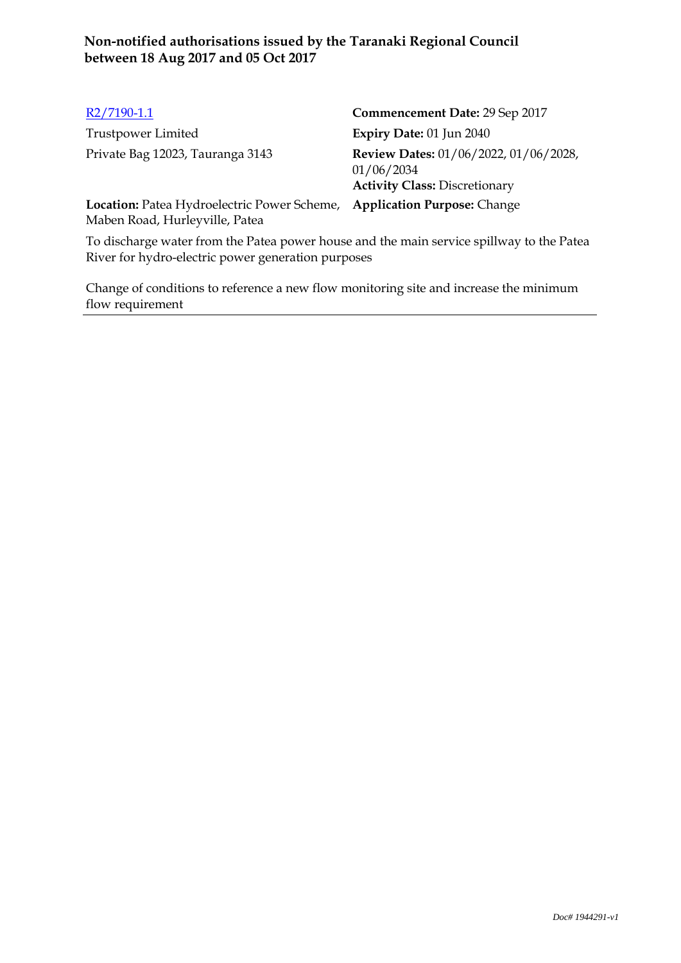| $R2/7190-1.1$                                                                 | Commencement Date: 29 Sep 2017                                                              |
|-------------------------------------------------------------------------------|---------------------------------------------------------------------------------------------|
| Trustpower Limited                                                            | Expiry Date: 01 Jun 2040                                                                    |
| Private Bag 12023, Tauranga 3143                                              | Review Dates: 01/06/2022, 01/06/2028,<br>01/06/2034<br><b>Activity Class: Discretionary</b> |
| Location: Patea Hydroelectric Power Scheme,<br>Maben Road, Hurleyville, Patea | <b>Application Purpose: Change</b>                                                          |

To discharge water from the Patea power house and the main service spillway to the Patea River for hydro-electric power generation purposes

Change of conditions to reference a new flow monitoring site and increase the minimum flow requirement